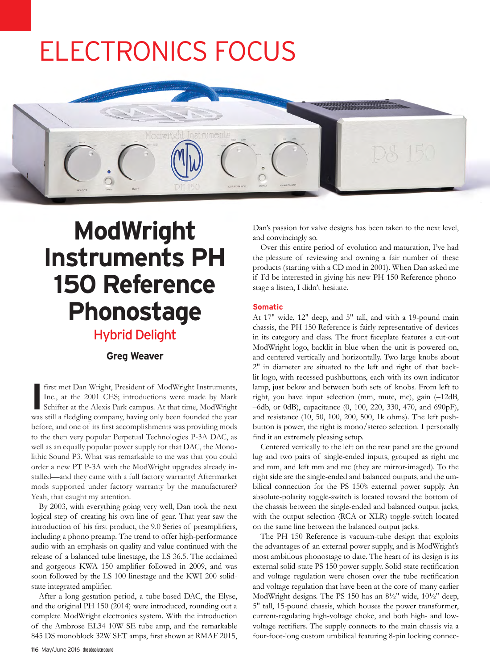# ELECTRONICS FOCUS



# **ModWright Instruments PH 150 Reference Phonostage**

## Hybrid Delight

### **Greg Weaver**

**I** first met Dan Wright, President of ModWright Instruments, Inc., at the 2001 CES; introductions were made by Mark Schifter at the Alexis Park campus. At that time, ModWright Inc., at the 2001 CES; introductions were made by Mark was still a fledgling company, having only been founded the year before, and one of its first accomplishments was providing mods to the then very popular Perpetual Technologies P-3A DAC, as well as an equally popular power supply for that DAC, the Monolithic Sound P3. What was remarkable to me was that you could order a new PT P-3A with the ModWright upgrades already installed—and they came with a full factory warranty! Aftermarket mods supported under factory warranty by the manufacturer? Yeah, that caught my attention.

By 2003, with everything going very well, Dan took the next logical step of creating his own line of gear. That year saw the introduction of his first product, the 9.0 Series of preamplifiers, including a phono preamp. The trend to offer high-performance audio with an emphasis on quality and value continued with the release of a balanced tube linestage, the LS 36.5. The acclaimed and gorgeous KWA 150 amplifier followed in 2009, and was soon followed by the LS 100 linestage and the KWI 200 solidstate integrated amplifier.

After a long gestation period, a tube-based DAC, the Elyse, and the original PH 150 (2014) were introduced, rounding out a complete ModWright electronics system. With the introduction of the Ambrose EL34 10W SE tube amp, and the remarkable 845 DS monoblock 32W SET amps, first shown at RMAF 2015, Dan's passion for valve designs has been taken to the next level, and convincingly so.

Over this entire period of evolution and maturation, I've had the pleasure of reviewing and owning a fair number of these products (starting with a CD mod in 2001). When Dan asked me if I'd be interested in giving his new PH 150 Reference phonostage a listen, I didn't hesitate.

### **Somatic**

At 17" wide, 12" deep, and 5" tall, and with a 19-pound main chassis, the PH 150 Reference is fairly representative of devices in its category and class. The front faceplate features a cut-out ModWright logo, backlit in blue when the unit is powered on, and centered vertically and horizontally. Two large knobs about 2" in diameter are situated to the left and right of that backlit logo, with recessed pushbuttons, each with its own indicator lamp, just below and between both sets of knobs. From left to right, you have input selection (mm, mute, mc), gain (–12dB, –6db, or 0dB), capacitance (0, 100, 220, 330, 470, and 690pF), and resistance (10, 50, 100, 200, 500, 1k ohms). The left pushbutton is power, the right is mono/stereo selection. I personally find it an extremely pleasing setup.

Centered vertically to the left on the rear panel are the ground lug and two pairs of single-ended inputs, grouped as right mc and mm, and left mm and mc (they are mirror-imaged). To the right side are the single-ended and balanced outputs, and the umbilical connection for the PS 150's external power supply. An absolute-polarity toggle-switch is located toward the bottom of the chassis between the single-ended and balanced output jacks, with the output selection (RCA or XLR) toggle-switch located on the same line between the balanced output jacks.

The PH 150 Reference is vacuum-tube design that exploits the advantages of an external power supply, and is ModWright's most ambitious phonostage to date. The heart of its design is its external solid-state PS 150 power supply. Solid-state rectification and voltage regulation were chosen over the tube rectification and voltage regulation that have been at the core of many earlier ModWright designs. The PS 150 has an 8½" wide, 10½" deep, 5" tall, 15-pound chassis, which houses the power transformer, current-regulating high-voltage choke, and both high- and lowvoltage rectifiers. The supply connects to the main chassis via a four-foot-long custom umbilical featuring 8-pin locking connec-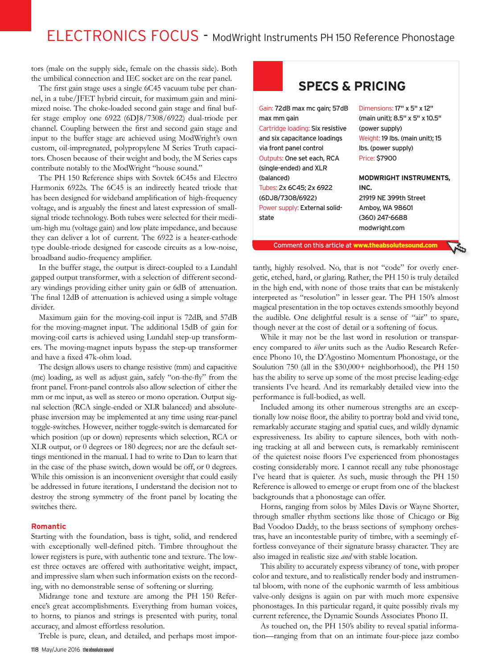# ELECTRONICS FOCUS - ModWright Instruments PH 150 Reference Phonostage

tors (male on the supply side, female on the chassis side). Both the umbilical connection and IEC socket are on the rear panel.

The first gain stage uses a single 6C45 vacuum tube per channel, in a tube/JFET hybrid circuit, for maximum gain and minimized noise. The choke-loaded second gain stage and final buffer stage employ one 6922 (6DJ8/7308/6922) dual-triode per channel. Coupling between the first and second gain stage and input to the buffer stage are achieved using ModWright's own custom, oil-impregnated, polypropylene M Series Truth capacitors. Chosen because of their weight and body, the M Series caps contribute notably to the ModWright "house sound."

The PH 150 Reference ships with Sovtek 6C45s and Electro Harmonix 6922s. The 6C45 is an indirectly heated triode that has been designed for wideband amplification of high-frequency voltage, and is arguably the finest and latest expression of smallsignal triode technology. Both tubes were selected for their medium-high mu (voltage gain) and low plate impedance, and because they can deliver a lot of current. The 6922 is a heater-cathode type double-triode designed for cascode circuits as a low-noise, broadband audio-frequency amplifier.

In the buffer stage, the output is direct-coupled to a Lundahl gapped output transformer, with a selection of different secondary windings providing either unity gain or 6dB of attenuation. The final 12dB of attenuation is achieved using a simple voltage divider.

Maximum gain for the moving-coil input is 72dB, and 57dB for the moving-magnet input. The additional 15dB of gain for moving-coil carts is achieved using Lundahl step-up transformers. The moving-magnet inputs bypass the step-up transformer and have a fixed 47k-ohm load.

The design allows users to change resistive (mm) and capacitive (mc) loading, as well as adjust gain, safely "on-the-fly" from the front panel. Front-panel controls also allow selection of either the mm or mc input, as well as stereo or mono operation. Output signal selection (RCA single-ended or XLR balanced) and absolutephase inversion may be implemented at any time using rear-panel toggle-switches. However, neither toggle-switch is demarcated for which position (up or down) represents which selection, RCA or XLR output, or 0 degrees or 180 degrees; nor are the default settings mentioned in the manual. I had to write to Dan to learn that in the case of the phase switch, down would be off, or 0 degrees. While this omission is an inconvenient oversight that could easily be addressed in future iterations, I understand the decision not to destroy the strong symmetry of the front panel by locating the switches there.

#### **Romantic**

Starting with the foundation, bass is tight, solid, and rendered with exceptionally well-defined pitch. Timbre throughout the lower registers is pure, with authentic tone and texture. The lowest three octaves are offered with authoritative weight, impact, and impressive slam when such information exists on the recording, with no demonstrable sense of softening or slurring.

Midrange tone and texture are among the PH 150 Reference's great accomplishments. Everything from human voices, to horns, to pianos and strings is presented with purity, tonal accuracy, and almost effortless resolution.

Treble is pure, clean, and detailed, and perhaps most impor-

### **SPECS & PRICING**

Gain: 72dB max mc gain; 57dB max mm gain Cartridge loading: Six resistive and six capacitance loadings via front panel control Outputs: One set each, RCA (single-ended) and XLR (balanced) Tubes: 2x 6C45; 2x 6922 (6DJ8/7308/6922) Power supply: External solidstate

Dimensions: 17" x 5" x 12" (main unit); 8.5" x 5" x 10.5" (power supply) Weight: 19 lbs. (main unit); 15 lbs. (power supply) Price: \$7900

**MODWRIGHT INSTRUMENTS, INC.** 21919 NE 399th Street

Amboy, WA 98601 (360) 247-6688 modwright.com

Comment on this article at www.theabsolutesound.com

tantly, highly resolved. No, that is not "code" for overly energetic, etched, hard, or glaring. Rather, the PH 150 is truly detailed in the high end, with none of those traits that can be mistakenly interpreted as "resolution" in lesser gear. The PH 150's almost magical presentation in the top octaves extends smoothly beyond the audible. One delightful result is a sense of "air" to spare, though never at the cost of detail or a softening of focus.

While it may not be the last word in resolution or transparency compared to *über* units such as the Audio Research Reference Phono 10, the D'Agostino Momentum Phonostage, or the Soulution 750 (all in the \$30,000+ neighborhood), the PH 150 has the ability to serve up some of the most precise leading-edge transients I've heard. And its remarkably detailed view into the performance is full-bodied, as well.

Included among its other numerous strengths are an exceptionally low noise floor, the ability to portray bold and vivid tone, remarkably accurate staging and spatial cues, and wildly dynamic expressiveness. Its ability to capture silences, both with nothing tracking at all and between cuts, is remarkably reminiscent of the quietest noise floors I've experienced from phonostages costing considerably more. I cannot recall any tube phonostage I've heard that is quieter. As such, music through the PH 150 Reference is allowed to emerge or erupt from one of the blackest backgrounds that a phonostage can offer.

Horns, ranging from solos by Miles Davis or Wayne Shorter, through smaller rhythm sections like those of Chicago or Big Bad Voodoo Daddy, to the brass sections of symphony orchestras, have an incontestable purity of timbre, with a seemingly effortless conveyance of their signature brassy character. They are also imaged in realistic size *and* with stable location.

This ability to accurately express vibrancy of tone, with proper color and texture, and to realistically render body and instrumental bloom, with none of the euphonic warmth of less ambitious valve-only designs is again on par with much more expensive phonostages. In this particular regard, it quite possibly rivals my current reference, the Dynamic Sounds Associates Phono II.

As touched on, the PH 150's ability to reveal spatial information—ranging from that on an intimate four-piece jazz combo